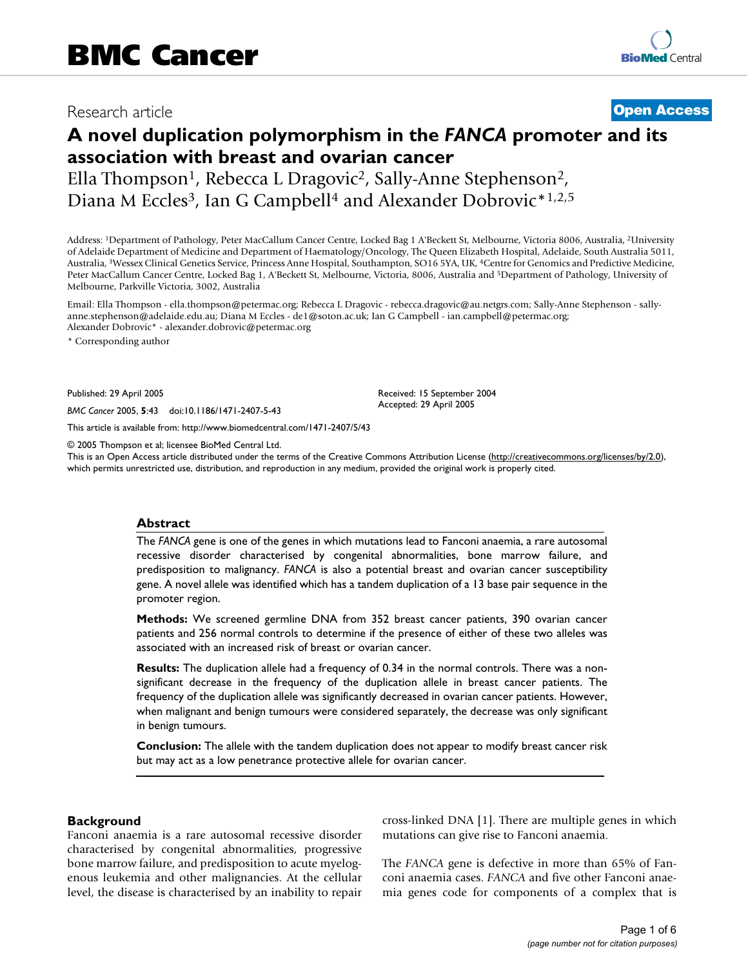## Research article **[Open Access](http://www.biomedcentral.com/info/about/charter/)**

# **A novel duplication polymorphism in the** *FANCA* **promoter and its association with breast and ovarian cancer**

Ella Thompson<sup>1</sup>, Rebecca L Dragovic<sup>2</sup>, Sally-Anne Stephenson<sup>2</sup>, Diana M Eccles<sup>3</sup>, Ian G Campbell<sup>4</sup> and Alexander Dobrovic<sup>\*1,2,5</sup>

Address: 1Department of Pathology, Peter MacCallum Cancer Centre, Locked Bag 1 A'Beckett St, Melbourne, Victoria 8006, Australia, 2University of Adelaide Department of Medicine and Department of Haematology/Oncology, The Queen Elizabeth Hospital, Adelaide, South Australia 5011, Australia, 3Wessex Clinical Genetics Service, Princess Anne Hospital, Southampton, SO16 5YA, UK, 4Centre for Genomics and Predictive Medicine, Peter MacCallum Cancer Centre, Locked Bag 1, A'Beckett St, Melbourne, Victoria, 8006, Australia and 5Department of Pathology, University of Melbourne, Parkville Victoria, 3002, Australia

Email: Ella Thompson - ella.thompson@petermac.org; Rebecca L Dragovic - rebecca.dragovic@au.netgrs.com; Sally-Anne Stephenson - sallyanne.stephenson@adelaide.edu.au; Diana M Eccles - de1@soton.ac.uk; Ian G Campbell - ian.campbell@petermac.org; Alexander Dobrovic\* - alexander.dobrovic@petermac.org

\* Corresponding author

Published: 29 April 2005

*BMC Cancer* 2005, **5**:43 doi:10.1186/1471-2407-5-43

[This article is available from: http://www.biomedcentral.com/1471-2407/5/43](http://www.biomedcentral.com/1471-2407/5/43)

© 2005 Thompson et al; licensee BioMed Central Ltd.

This is an Open Access article distributed under the terms of the Creative Commons Attribution License [\(http://creativecommons.org/licenses/by/2.0\)](http://creativecommons.org/licenses/by/2.0), which permits unrestricted use, distribution, and reproduction in any medium, provided the original work is properly cited.

Received: 15 September 2004 Accepted: 29 April 2005

#### **Abstract**

The *FANCA* gene is one of the genes in which mutations lead to Fanconi anaemia, a rare autosomal recessive disorder characterised by congenital abnormalities, bone marrow failure, and predisposition to malignancy. *FANCA* is also a potential breast and ovarian cancer susceptibility gene. A novel allele was identified which has a tandem duplication of a 13 base pair sequence in the promoter region.

**Methods:** We screened germline DNA from 352 breast cancer patients, 390 ovarian cancer patients and 256 normal controls to determine if the presence of either of these two alleles was associated with an increased risk of breast or ovarian cancer.

**Results:** The duplication allele had a frequency of 0.34 in the normal controls. There was a nonsignificant decrease in the frequency of the duplication allele in breast cancer patients. The frequency of the duplication allele was significantly decreased in ovarian cancer patients. However, when malignant and benign tumours were considered separately, the decrease was only significant in benign tumours.

**Conclusion:** The allele with the tandem duplication does not appear to modify breast cancer risk but may act as a low penetrance protective allele for ovarian cancer.

#### **Background**

Fanconi anaemia is a rare autosomal recessive disorder characterised by congenital abnormalities, progressive bone marrow failure, and predisposition to acute myelogenous leukemia and other malignancies. At the cellular level, the disease is characterised by an inability to repair cross-linked DNA [1]. There are multiple genes in which mutations can give rise to Fanconi anaemia.

The *FANCA* gene is defective in more than 65% of Fanconi anaemia cases. *FANCA* and five other Fanconi anaemia genes code for components of a complex that is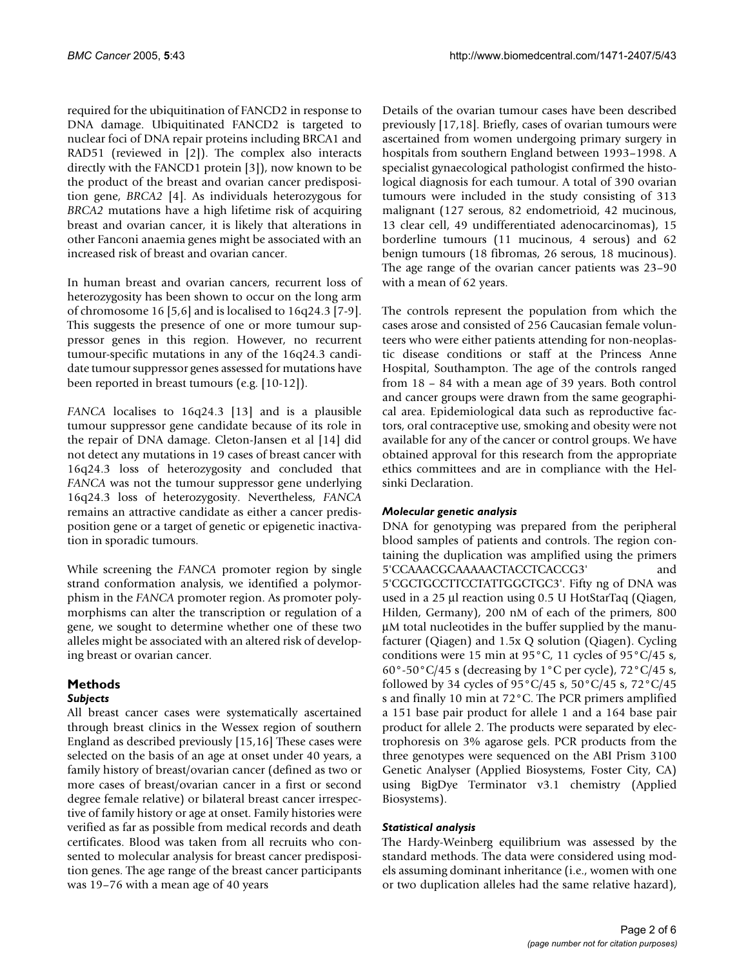required for the ubiquitination of FANCD2 in response to DNA damage. Ubiquitinated FANCD2 is targeted to nuclear foci of DNA repair proteins including BRCA1 and RAD51 (reviewed in [2]). The complex also interacts directly with the FANCD1 protein [3]), now known to be the product of the breast and ovarian cancer predisposition gene, *BRCA2* [4]. As individuals heterozygous for *BRCA2* mutations have a high lifetime risk of acquiring breast and ovarian cancer, it is likely that alterations in other Fanconi anaemia genes might be associated with an increased risk of breast and ovarian cancer.

In human breast and ovarian cancers, recurrent loss of heterozygosity has been shown to occur on the long arm of chromosome 16 [5,6] and is localised to 16q24.3 [7-9]. This suggests the presence of one or more tumour suppressor genes in this region. However, no recurrent tumour-specific mutations in any of the 16q24.3 candidate tumour suppressor genes assessed for mutations have been reported in breast tumours (e.g. [10-12]).

*FANCA* localises to 16q24.3 [13] and is a plausible tumour suppressor gene candidate because of its role in the repair of DNA damage. Cleton-Jansen et al [14] did not detect any mutations in 19 cases of breast cancer with 16q24.3 loss of heterozygosity and concluded that *FANCA* was not the tumour suppressor gene underlying 16q24.3 loss of heterozygosity. Nevertheless, *FANCA* remains an attractive candidate as either a cancer predisposition gene or a target of genetic or epigenetic inactivation in sporadic tumours.

While screening the *FANCA* promoter region by single strand conformation analysis, we identified a polymorphism in the *FANCA* promoter region. As promoter polymorphisms can alter the transcription or regulation of a gene, we sought to determine whether one of these two alleles might be associated with an altered risk of developing breast or ovarian cancer.

## **Methods** *Subjects*

All breast cancer cases were systematically ascertained through breast clinics in the Wessex region of southern England as described previously [15,16] These cases were selected on the basis of an age at onset under 40 years, a family history of breast/ovarian cancer (defined as two or more cases of breast/ovarian cancer in a first or second degree female relative) or bilateral breast cancer irrespective of family history or age at onset. Family histories were verified as far as possible from medical records and death certificates. Blood was taken from all recruits who consented to molecular analysis for breast cancer predisposition genes. The age range of the breast cancer participants was 19–76 with a mean age of 40 years

Details of the ovarian tumour cases have been described previously [17,18]. Briefly, cases of ovarian tumours were ascertained from women undergoing primary surgery in hospitals from southern England between 1993–1998. A specialist gynaecological pathologist confirmed the histological diagnosis for each tumour. A total of 390 ovarian tumours were included in the study consisting of 313 malignant (127 serous, 82 endometrioid, 42 mucinous, 13 clear cell, 49 undifferentiated adenocarcinomas), 15 borderline tumours (11 mucinous, 4 serous) and 62 benign tumours (18 fibromas, 26 serous, 18 mucinous). The age range of the ovarian cancer patients was 23–90 with a mean of 62 years.

The controls represent the population from which the cases arose and consisted of 256 Caucasian female volunteers who were either patients attending for non-neoplastic disease conditions or staff at the Princess Anne Hospital, Southampton. The age of the controls ranged from 18 – 84 with a mean age of 39 years. Both control and cancer groups were drawn from the same geographical area. Epidemiological data such as reproductive factors, oral contraceptive use, smoking and obesity were not available for any of the cancer or control groups. We have obtained approval for this research from the appropriate ethics committees and are in compliance with the Helsinki Declaration.

## *Molecular genetic analysis*

DNA for genotyping was prepared from the peripheral blood samples of patients and controls. The region containing the duplication was amplified using the primers 5'CCAAACGCAAAAACTACCTCACCG3' and 5'CGCTGCCTTCCTATTGGCTGC3'. Fifty ng of DNA was used in a 25 µl reaction using 0.5 U HotStarTaq (Qiagen, Hilden, Germany), 200 nM of each of the primers, 800 µM total nucleotides in the buffer supplied by the manufacturer (Qiagen) and 1.5x Q solution (Qiagen). Cycling conditions were 15 min at 95°C, 11 cycles of 95°C/45 s, 60°-50°C/45 s (decreasing by 1°C per cycle), 72°C/45 s, followed by 34 cycles of 95°C/45 s, 50°C/45 s, 72°C/45 s and finally 10 min at 72°C. The PCR primers amplified a 151 base pair product for allele 1 and a 164 base pair product for allele 2. The products were separated by electrophoresis on 3% agarose gels. PCR products from the three genotypes were sequenced on the ABI Prism 3100 Genetic Analyser (Applied Biosystems, Foster City, CA) using BigDye Terminator v3.1 chemistry (Applied Biosystems).

## *Statistical analysis*

The Hardy-Weinberg equilibrium was assessed by the standard methods. The data were considered using models assuming dominant inheritance (i.e., women with one or two duplication alleles had the same relative hazard),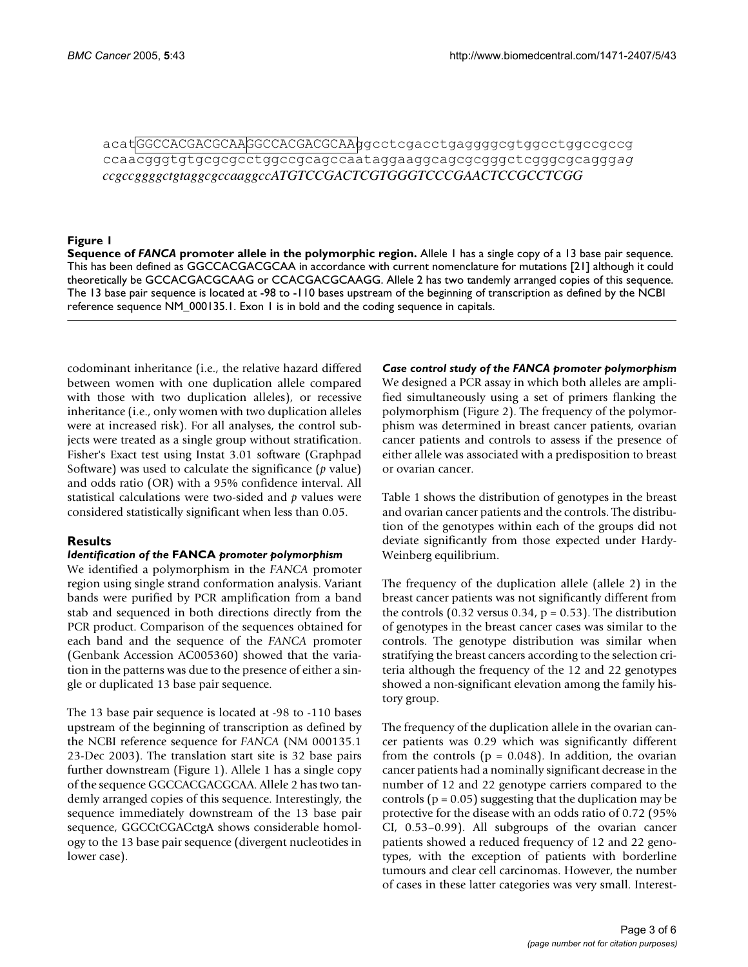acatGGCCACGACGCAAGGCCACGACGCAAggcctcgacctgaggggcgtggcctggccgccg ccaacgggtgtgcgcgcctggccgcagccaataggaaggcagcgcgggctcgggcgcaggg*ag ccgccggggctgtaggcgccaaggccATGTCCGACTCGTGGGTCCCGAACTCCGCCTCGG*

#### **Figure 1**

**Sequence of** *FANCA* **promoter allele in the polymorphic region.** Allele 1 has a single copy of a 13 base pair sequence. This has been defined as GGCCACGACGCAA in accordance with current nomenclature for mutations [21] although it could theoretically be GCCACGACGCAAG or CCACGACGCAAGG. Allele 2 has two tandemly arranged copies of this sequence. The 13 base pair sequence is located at -98 to -110 bases upstream of the beginning of transcription as defined by the NCBI reference sequence NM\_000135.1. Exon 1 is in bold and the coding sequence in capitals.

codominant inheritance (i.e., the relative hazard differed between women with one duplication allele compared with those with two duplication alleles), or recessive inheritance (i.e., only women with two duplication alleles were at increased risk). For all analyses, the control subjects were treated as a single group without stratification. Fisher's Exact test using Instat 3.01 software (Graphpad Software) was used to calculate the significance (*p* value) and odds ratio (OR) with a 95% confidence interval. All statistical calculations were two-sided and *p* values were considered statistically significant when less than 0.05.

## **Results**

#### *Identification of the* **FANCA** *promoter polymorphism*

We identified a polymorphism in the *FANCA* promoter region using single strand conformation analysis. Variant bands were purified by PCR amplification from a band stab and sequenced in both directions directly from the PCR product. Comparison of the sequences obtained for each band and the sequence of the *FANCA* promoter (Genbank Accession AC005360) showed that the variation in the patterns was due to the presence of either a single or duplicated 13 base pair sequence.

The 13 base pair sequence is located at -98 to -110 bases upstream of the beginning of transcription as defined by the NCBI reference sequence for *FANCA* (NM 000135.1 23-Dec 2003). The translation start site is 32 base pairs further downstream (Figure 1). Allele 1 has a single copy of the sequence GGCCACGACGCAA. Allele 2 has two tandemly arranged copies of this sequence. Interestingly, the sequence immediately downstream of the 13 base pair sequence, GGCCtCGACctgA shows considerable homology to the 13 base pair sequence (divergent nucleotides in lower case).

*Case control study of the FANCA promoter polymorphism* We designed a PCR assay in which both alleles are amplified simultaneously using a set of primers flanking the polymorphism (Figure [2\)](#page-3-0). The frequency of the polymorphism was determined in breast cancer patients, ovarian cancer patients and controls to assess if the presence of either allele was associated with a predisposition to breast or ovarian cancer.

Table [1](#page-3-1) shows the distribution of genotypes in the breast and ovarian cancer patients and the controls. The distribution of the genotypes within each of the groups did not deviate significantly from those expected under Hardy-Weinberg equilibrium.

The frequency of the duplication allele (allele 2) in the breast cancer patients was not significantly different from the controls  $(0.32 \text{ versus } 0.34, p = 0.53)$ . The distribution of genotypes in the breast cancer cases was similar to the controls. The genotype distribution was similar when stratifying the breast cancers according to the selection criteria although the frequency of the 12 and 22 genotypes showed a non-significant elevation among the family history group.

The frequency of the duplication allele in the ovarian cancer patients was 0.29 which was significantly different from the controls ( $p = 0.048$ ). In addition, the ovarian cancer patients had a nominally significant decrease in the number of 12 and 22 genotype carriers compared to the controls ( $p = 0.05$ ) suggesting that the duplication may be protective for the disease with an odds ratio of 0.72 (95% CI, 0.53–0.99). All subgroups of the ovarian cancer patients showed a reduced frequency of 12 and 22 genotypes, with the exception of patients with borderline tumours and clear cell carcinomas. However, the number of cases in these latter categories was very small. Interest-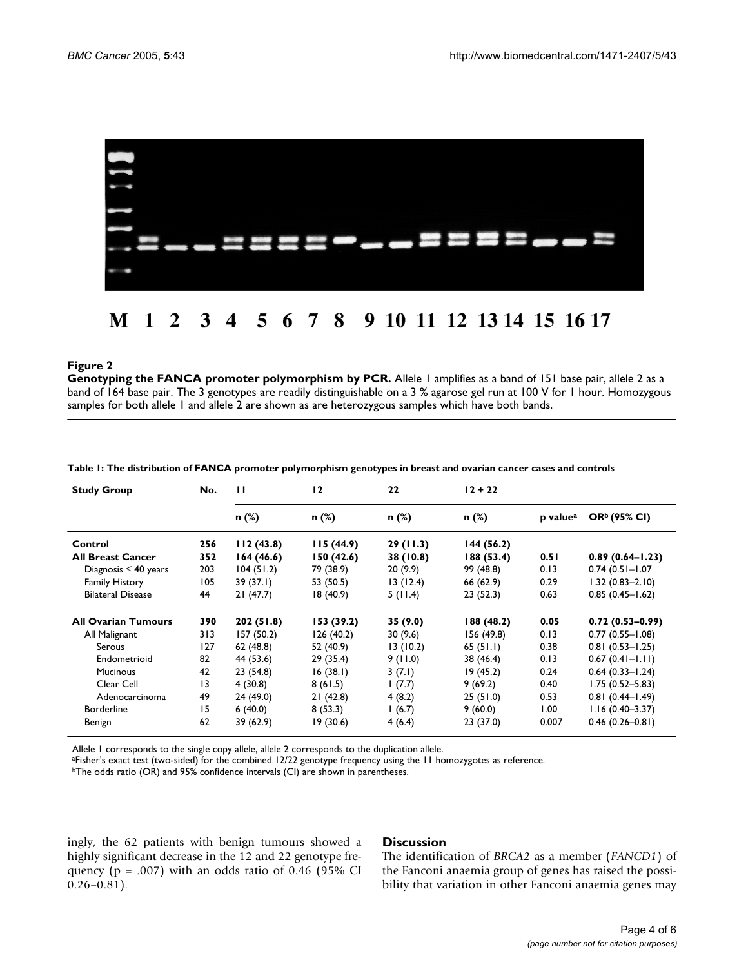<span id="page-3-0"></span>

#### Figure 2

**Genotyping the FANCA promoter polymorphism by PCR.** Allele 1 amplifies as a band of 151 base pair, allele 2 as a band of 164 base pair. The 3 genotypes are readily distinguishable on a 3 % agarose gel run at 100 V for 1 hour. Homozygous samples for both allele 1 and allele 2 are shown as are heterozygous samples which have both bands.

| <b>Study Group</b>         | No.             | $\mathbf{H}$ | 12         | 22        | $12 + 22$  |                      |                          |
|----------------------------|-----------------|--------------|------------|-----------|------------|----------------------|--------------------------|
|                            |                 | n (%)        | n (%)      | n (%)     | n (%)      | p value <sup>a</sup> | OR <sup>b</sup> (95% CI) |
| Control                    | 256             | 112(43.8)    | 115(44.9)  | 29(11.3)  | 144 (56.2) |                      |                          |
| <b>All Breast Cancer</b>   | 352             | 164 (46.6)   | 150 (42.6) | 38 (10.8) | 188(53.4)  | 0.51                 | $0.89(0.64 - 1.23)$      |
| Diagnosis $\leq 40$ years  | 203             | 104(51.2)    | 79 (38.9)  | 20(9.9)   | 99 (48.8)  | 0.13                 | $0.74(0.51 - 1.07)$      |
| <b>Family History</b>      | 105             | 39(37.1)     | 53 (50.5)  | 13 (12.4) | 66 (62.9)  | 0.29                 | $1.32(0.83 - 2.10)$      |
| <b>Bilateral Disease</b>   | 44              | 21(47.7)     | 18(40.9)   | 5(11.4)   | 23(52.3)   | 0.63                 | $0.85(0.45 - 1.62)$      |
| <b>All Ovarian Tumours</b> | 390             | 202(51.8)    | 153 (39.2) | 35(9.0)   | 188(48.2)  | 0.05                 | $0.72(0.53 - 0.99)$      |
| All Malignant              | 313             | 157 (50.2)   | 126(40.2)  | 30(9.6)   | 156 (49.8) | 0.13                 | $0.77(0.55 - 1.08)$      |
| Serous                     | 127             | 62(48.8)     | 52 (40.9)  | 13(10.2)  | 65(51.1)   | 0.38                 | $0.81(0.53 - 1.25)$      |
| Endometrioid               | 82              | 44 (53.6)    | 29 (35.4)  | 9(11.0)   | 38 (46.4)  | 0.13                 | $0.67(0.41 - 1.11)$      |
| <b>Mucinous</b>            | 42              | 23(54.8)     | 16(38.1)   | 3(7.1)    | 19(45.2)   | 0.24                 | $0.64(0.33 - 1.24)$      |
| Clear Cell                 | $\overline{13}$ | 4(30.8)      | 8(61.5)    | (7.7)     | 9(69.2)    | 0.40                 | $1.75(0.52 - 5.83)$      |
| Adenocarcinoma             | 49              | 24 (49.0)    | 21(42.8)   | 4(8.2)    | 25(51.0)   | 0.53                 | $0.81(0.44 - 1.49)$      |
| <b>Borderline</b>          | 15              | 6(40.0)      | 8(53.3)    | 1(6.7)    | 9(60.0)    | 00.1                 | $1.16(0.40 - 3.37)$      |
| Benign                     | 62              | 39 (62.9)    | 19 (30.6)  | 4(6.4)    | 23 (37.0)  | 0.007                | $0.46(0.26 - 0.81)$      |

<span id="page-3-1"></span>**Table 1: The distribution of FANCA promoter polymorphism genotypes in breast and ovarian cancer cases and controls**

Allele 1 corresponds to the single copy allele, allele 2 corresponds to the duplication allele.

aFisher's exact test (two-sided) for the combined 12/22 genotype frequency using the 11 homozygotes as reference.

<sup>b</sup>The odds ratio (OR) and 95% confidence intervals (CI) are shown in parentheses.

ingly, the 62 patients with benign tumours showed a highly significant decrease in the 12 and 22 genotype frequency ( $p = .007$ ) with an odds ratio of 0.46 (95% CI 0.26–0.81).

#### **Discussion**

The identification of *BRCA2* as a member (*FANCD1*) of the Fanconi anaemia group of genes has raised the possibility that variation in other Fanconi anaemia genes may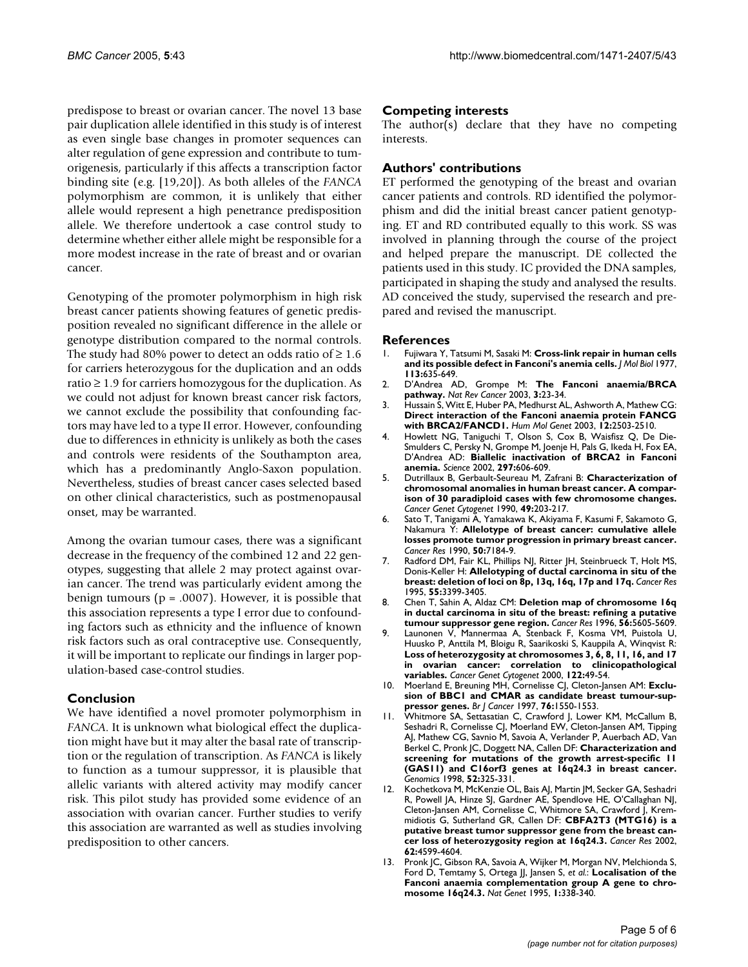predispose to breast or ovarian cancer. The novel 13 base pair duplication allele identified in this study is of interest as even single base changes in promoter sequences can alter regulation of gene expression and contribute to tumorigenesis, particularly if this affects a transcription factor binding site (e.g. [19,20]). As both alleles of the *FANCA* polymorphism are common, it is unlikely that either allele would represent a high penetrance predisposition allele. We therefore undertook a case control study to determine whether either allele might be responsible for a more modest increase in the rate of breast and or ovarian cancer.

Genotyping of the promoter polymorphism in high risk breast cancer patients showing features of genetic predisposition revealed no significant difference in the allele or genotype distribution compared to the normal controls. The study had 80% power to detect an odds ratio of  $\geq 1.6$ for carriers heterozygous for the duplication and an odds ratio  $\geq$  1.9 for carriers homozygous for the duplication. As we could not adjust for known breast cancer risk factors, we cannot exclude the possibility that confounding factors may have led to a type II error. However, confounding due to differences in ethnicity is unlikely as both the cases and controls were residents of the Southampton area, which has a predominantly Anglo-Saxon population. Nevertheless, studies of breast cancer cases selected based on other clinical characteristics, such as postmenopausal onset, may be warranted.

Among the ovarian tumour cases, there was a significant decrease in the frequency of the combined 12 and 22 genotypes, suggesting that allele 2 may protect against ovarian cancer. The trend was particularly evident among the benign tumours ( $p = .0007$ ). However, it is possible that this association represents a type I error due to confounding factors such as ethnicity and the influence of known risk factors such as oral contraceptive use. Consequently, it will be important to replicate our findings in larger population-based case-control studies.

## **Conclusion**

We have identified a novel promoter polymorphism in *FANCA*. It is unknown what biological effect the duplication might have but it may alter the basal rate of transcription or the regulation of transcription. As *FANCA* is likely to function as a tumour suppressor, it is plausible that allelic variants with altered activity may modify cancer risk. This pilot study has provided some evidence of an association with ovarian cancer. Further studies to verify this association are warranted as well as studies involving predisposition to other cancers.

## **Competing interests**

The author(s) declare that they have no competing interests.

## **Authors' contributions**

ET performed the genotyping of the breast and ovarian cancer patients and controls. RD identified the polymorphism and did the initial breast cancer patient genotyping. ET and RD contributed equally to this work. SS was involved in planning through the course of the project and helped prepare the manuscript. DE collected the patients used in this study. IC provided the DNA samples, participated in shaping the study and analysed the results. AD conceived the study, supervised the research and prepared and revised the manuscript.

#### **References**

- 1. Fujiwara Y, Tatsumi M, Sasaki M: **[Cross-link repair in human cells](http://www.ncbi.nlm.nih.gov/entrez/query.fcgi?cmd=Retrieve&db=PubMed&dopt=Abstract&list_uids=894713) [and its possible defect in Fanconi's anemia cells.](http://www.ncbi.nlm.nih.gov/entrez/query.fcgi?cmd=Retrieve&db=PubMed&dopt=Abstract&list_uids=894713)** *J Mol Biol* 1977, **113:**635-649.
- 2. D'Andrea AD, Grompe M: **[The Fanconi anaemia/BRCA](http://www.ncbi.nlm.nih.gov/entrez/query.fcgi?cmd=Retrieve&db=PubMed&dopt=Abstract&list_uids=12509764) [pathway.](http://www.ncbi.nlm.nih.gov/entrez/query.fcgi?cmd=Retrieve&db=PubMed&dopt=Abstract&list_uids=12509764)** *Nat Rev Cancer* 2003, **3:**23-34.
- 3. Hussain S, Witt E, Huber PA, Medhurst AL, Ashworth A, Mathew CG: **[Direct interaction of the Fanconi anaemia protein FANCG](http://www.ncbi.nlm.nih.gov/entrez/query.fcgi?cmd=Retrieve&db=PubMed&dopt=Abstract&list_uids=12915460) [with BRCA2/FANCD1.](http://www.ncbi.nlm.nih.gov/entrez/query.fcgi?cmd=Retrieve&db=PubMed&dopt=Abstract&list_uids=12915460)** *Hum Mol Genet* 2003, **12:**2503-2510.
- 4. Howlett NG, Taniguchi T, Olson S, Cox B, Waisfisz Q, De Die-Smulders C, Persky N, Grompe M, Joenje H, Pals G, Ikeda H, Fox EA, D'Andrea AD: **[Biallelic inactivation of BRCA2 in Fanconi](http://www.ncbi.nlm.nih.gov/entrez/query.fcgi?cmd=Retrieve&db=PubMed&dopt=Abstract&list_uids=12065746) [anemia.](http://www.ncbi.nlm.nih.gov/entrez/query.fcgi?cmd=Retrieve&db=PubMed&dopt=Abstract&list_uids=12065746)** *Science* 2002, **297:**606-609.
- 5. Dutrillaux B, Gerbault-Seureau M, Zafrani B: **[Characterization of](http://www.ncbi.nlm.nih.gov/entrez/query.fcgi?cmd=Retrieve&db=PubMed&dopt=Abstract&list_uids=2170003) [chromosomal anomalies in human breast cancer. A compar](http://www.ncbi.nlm.nih.gov/entrez/query.fcgi?cmd=Retrieve&db=PubMed&dopt=Abstract&list_uids=2170003)ison of 30 paradiploid cases with few chromosome changes.** *Cancer Genet Cytogenet* 1990, **49:**203-217.
- 6. Sato T, Tanigami A, Yamakawa K, Akiyama F, Kasumi F, Sakamoto G, Nakamura Y: **[Allelotype of breast cancer: cumulative allele](http://www.ncbi.nlm.nih.gov/entrez/query.fcgi?cmd=Retrieve&db=PubMed&dopt=Abstract&list_uids=1977515) [losses promote tumor progression in primary breast cancer.](http://www.ncbi.nlm.nih.gov/entrez/query.fcgi?cmd=Retrieve&db=PubMed&dopt=Abstract&list_uids=1977515)** *Cancer Res* 1990, **50:**7184-9.
- 7. Radford DM, Fair KL, Phillips NJ, Ritter JH, Steinbrueck T, Holt MS, Donis-Keller H: **[Allelotyping of ductal carcinoma in situ of the](http://www.ncbi.nlm.nih.gov/entrez/query.fcgi?cmd=Retrieve&db=PubMed&dopt=Abstract&list_uids=7614479) [breast: deletion of loci on 8p, 13q, 16q, 17p and 17q.](http://www.ncbi.nlm.nih.gov/entrez/query.fcgi?cmd=Retrieve&db=PubMed&dopt=Abstract&list_uids=7614479)** *Cancer Res* 1995, **55:**3399-3405.
- 8. Chen T, Sahin A, Aldaz CM: **[Deletion map of chromosome 16q](http://www.ncbi.nlm.nih.gov/entrez/query.fcgi?cmd=Retrieve&db=PubMed&dopt=Abstract&list_uids=8971163) [in ductal carcinoma in situ of the breast: refining a putative](http://www.ncbi.nlm.nih.gov/entrez/query.fcgi?cmd=Retrieve&db=PubMed&dopt=Abstract&list_uids=8971163) [tumour suppressor gene region.](http://www.ncbi.nlm.nih.gov/entrez/query.fcgi?cmd=Retrieve&db=PubMed&dopt=Abstract&list_uids=8971163)** *Cancer Res* 1996, **56:**5605-5609.
- 9. Launonen V, Mannermaa A, Stenback F, Kosma VM, Puistola U, Huusko P, Anttila M, Bloigu R, Saarikoski S, Kauppila A, Winqvist R: **[Loss of heterozygosity at chromosomes 3, 6, 8, 11, 16, and 17](http://www.ncbi.nlm.nih.gov/entrez/query.fcgi?cmd=Retrieve&db=PubMed&dopt=Abstract&list_uids=11104033) in ovarian cancer: correlation to clinicopathological [variables.](http://www.ncbi.nlm.nih.gov/entrez/query.fcgi?cmd=Retrieve&db=PubMed&dopt=Abstract&list_uids=11104033)** *Cancer Genet Cytogenet* 2000, **122:**49-54.
- 10. Moerland E, Breuning MH, Cornelisse CJ, Cleton-Jansen AM: **[Exclu](http://www.ncbi.nlm.nih.gov/entrez/query.fcgi?cmd=Retrieve&db=PubMed&dopt=Abstract&list_uids=9413939)[sion of BBC1 and CMAR as candidate breast tumour-sup](http://www.ncbi.nlm.nih.gov/entrez/query.fcgi?cmd=Retrieve&db=PubMed&dopt=Abstract&list_uids=9413939)[pressor genes.](http://www.ncbi.nlm.nih.gov/entrez/query.fcgi?cmd=Retrieve&db=PubMed&dopt=Abstract&list_uids=9413939)** *Br J Cancer* 1997, **76:**1550-1553.
- 11. Whitmore SA, Settasatian C, Crawford J, Lower KM, McCallum B, Seshadri R, Cornelisse CJ, Moerland EW, Cleton-Jansen AM, Tipping AJ, Mathew CG, Savnio M, Savoia A, Verlander P, Auerbach AD, Van Berkel C, Pronk JC, Doggett NA, Callen DF: **[Characterization and](http://www.ncbi.nlm.nih.gov/entrez/query.fcgi?cmd=Retrieve&db=PubMed&dopt=Abstract&list_uids=9790751) [screening for mutations of the growth arrest-specific 11](http://www.ncbi.nlm.nih.gov/entrez/query.fcgi?cmd=Retrieve&db=PubMed&dopt=Abstract&list_uids=9790751) (GAS11) and C16orf3 genes at 16q24.3 in breast cancer.** *Genomics* 1998, **52:**325-331.
- 12. Kochetkova M, McKenzie OL, Bais AJ, Martin JM, Secker GA, Seshadri R, Powell JA, Hinze SJ, Gardner AE, Spendlove HE, O'Callaghan NJ, Cleton-Jansen AM, Cornelisse C, Whitmore SA, Crawford J, Kremmidiotis G, Sutherland GR, Callen DF: **[CBFA2T3 \(MTG16\) is a](http://www.ncbi.nlm.nih.gov/entrez/query.fcgi?cmd=Retrieve&db=PubMed&dopt=Abstract&list_uids=12183414) [putative breast tumor suppressor gene from the breast can](http://www.ncbi.nlm.nih.gov/entrez/query.fcgi?cmd=Retrieve&db=PubMed&dopt=Abstract&list_uids=12183414)[cer loss of heterozygosity region at 16q24.3.](http://www.ncbi.nlm.nih.gov/entrez/query.fcgi?cmd=Retrieve&db=PubMed&dopt=Abstract&list_uids=12183414)** *Cancer Res* 2002, **62:**4599-4604.
- 13. Pronk JC, Gibson RA, Savoia A, Wijker M, Morgan NV, Melchionda S, Ford D, Temtamy S, Ortega JJ, Jansen S, *et al.*: **Localisation of the Fanconi anaemia complementation group A gene to chromosome 16q24.3.** *Nat Genet* 1995, **1:**338-340.